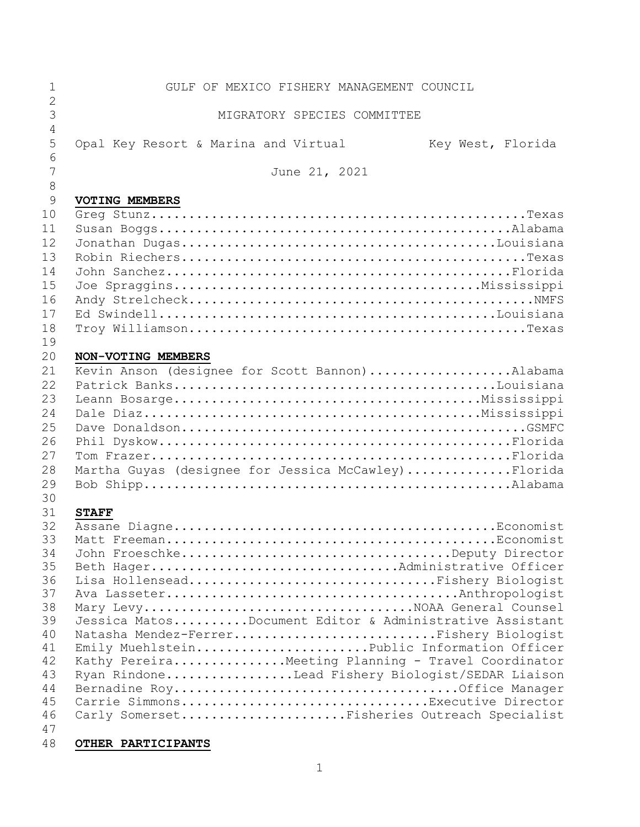| $\mathbf{1}$                                                   | GULF OF MEXICO FISHERY MANAGEMENT COUNCIL                                                                                                                                                                                                                                                                                                                           |
|----------------------------------------------------------------|---------------------------------------------------------------------------------------------------------------------------------------------------------------------------------------------------------------------------------------------------------------------------------------------------------------------------------------------------------------------|
| $\overline{2}$<br>3                                            | MIGRATORY SPECIES COMMITTEE                                                                                                                                                                                                                                                                                                                                         |
| $\overline{4}$<br>5<br>6                                       | Opal Key Resort & Marina and Virtual<br>Key West, Florida                                                                                                                                                                                                                                                                                                           |
| 7<br>8                                                         | June 21, 2021                                                                                                                                                                                                                                                                                                                                                       |
| 9<br>10                                                        | VOTING MEMBERS                                                                                                                                                                                                                                                                                                                                                      |
| 11<br>12<br>13                                                 |                                                                                                                                                                                                                                                                                                                                                                     |
| 14<br>15                                                       |                                                                                                                                                                                                                                                                                                                                                                     |
| 16<br>17<br>18<br>19                                           |                                                                                                                                                                                                                                                                                                                                                                     |
| 20                                                             | NON-VOTING MEMBERS                                                                                                                                                                                                                                                                                                                                                  |
| 21<br>22<br>23<br>24<br>25<br>26<br>27<br>28<br>29             | Kevin Anson (designee for Scott Bannon)Alabama<br>Martha Guyas (designee for Jessica McCawley)Florida                                                                                                                                                                                                                                                               |
| 30<br>31<br>32<br>33                                           | <b>STAFF</b>                                                                                                                                                                                                                                                                                                                                                        |
| 34<br>35<br>36<br>37<br>38<br>39<br>40<br>41<br>42<br>43<br>44 | John FroeschkeDeputy Director<br>Beth HagerAdministrative Officer<br>Lisa HollenseadFishery Biologist<br>Jessica MatosDocument Editor & Administrative Assistant<br>Natasha Mendez-FerrerFishery Biologist<br>Emily MuehlsteinPublic Information Officer<br>Kathy Pereira Meeting Planning - Travel Coordinator<br>Ryan RindoneLead Fishery Biologist/SEDAR Liaison |
| 45<br>46<br>47                                                 | Carrie SimmonsExecutive Director<br>Carly SomersetFisheries Outreach Specialist                                                                                                                                                                                                                                                                                     |
| 48                                                             | OTHER PARTICIPANTS                                                                                                                                                                                                                                                                                                                                                  |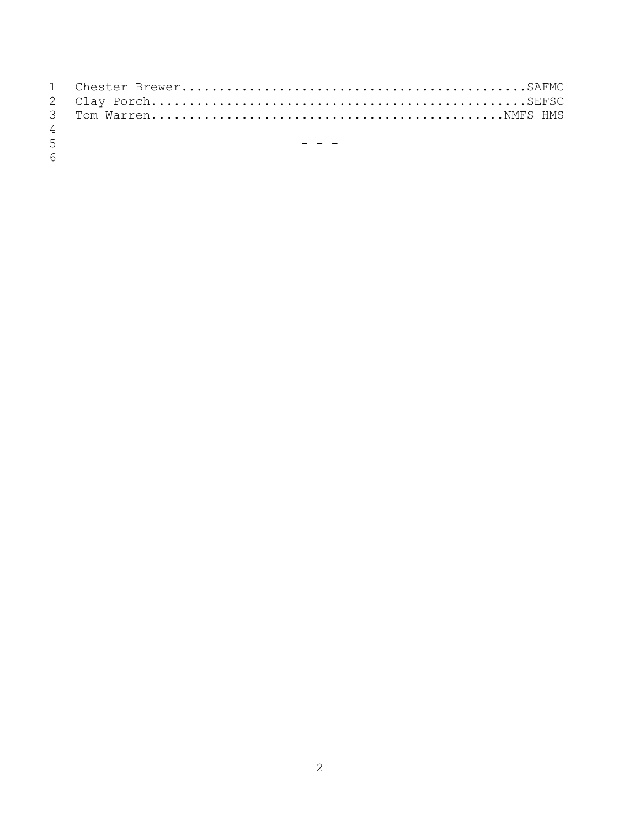| $\overline{4}$   |                             |
|------------------|-----------------------------|
| 5 <sup>7</sup>   | <u>in the second second</u> |
| $6 \overline{6}$ |                             |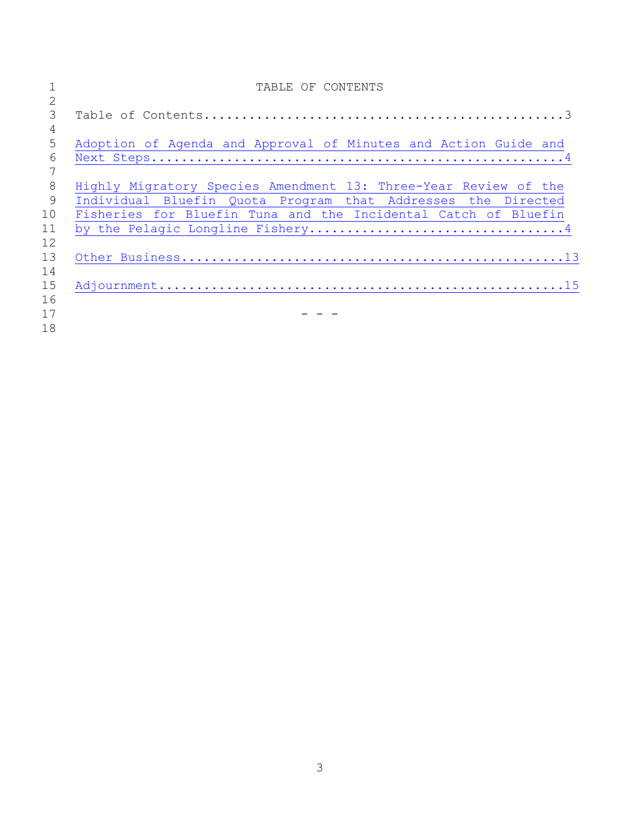|    | TABLE OF CONTENTS                                               |
|----|-----------------------------------------------------------------|
| 2  |                                                                 |
| 3  |                                                                 |
| 4  |                                                                 |
| 5  | Adoption of Agenda and Approval of Minutes and Action Guide and |
| 6  |                                                                 |
|    |                                                                 |
| 8  | Highly Migratory Species Amendment 13: Three-Year Review of the |
| 9  | Individual Bluefin Quota Program that Addresses the Directed    |
| 10 | Fisheries for Bluefin Tuna and the Incidental Catch of Bluefin  |
| 11 |                                                                 |
| 12 |                                                                 |
| 13 |                                                                 |
| 14 |                                                                 |
| 15 |                                                                 |
| 16 |                                                                 |
| 17 |                                                                 |
| 18 |                                                                 |
|    |                                                                 |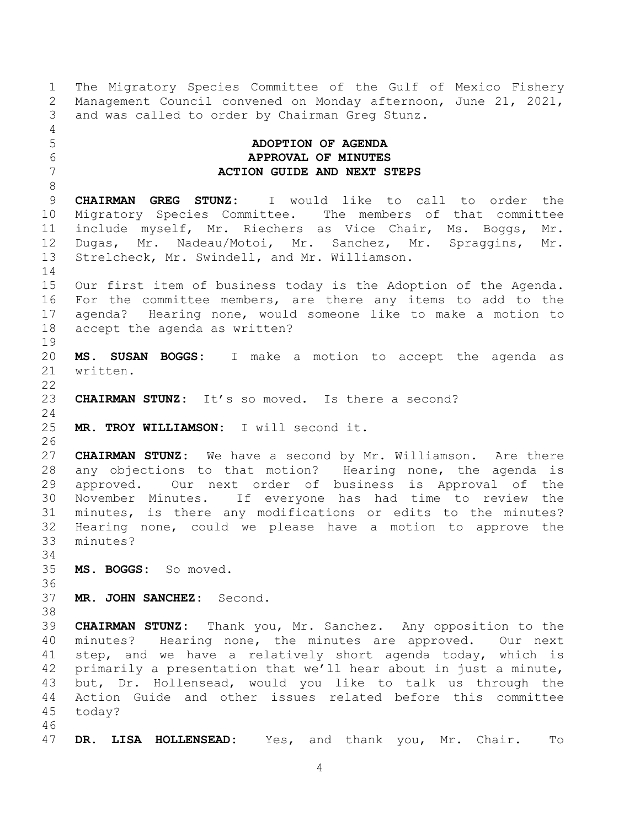1 The Migratory Species Committee of the Gulf of Mexico Fishery<br>2 Management Council convened on Monday afternoon, June 21, 2021, 2 Management Council convened on Monday afternoon, June 21, 2021,<br>3 and was called to order by Chairman Greg Stunz. and was called to order by Chairman Greg Stunz.

## <span id="page-3-0"></span>5 **ADOPTION OF AGENDA** 6 **APPROVAL OF MINUTES** 7 **ACTION GUIDE AND NEXT STEPS**

8 **CHAIRMAN GREG STUNZ:** I would like to call to order the migratory Species Committee. The members of that committee 10 Migratory Species Committee.<br>11 include myself, Mr. Riechers 11 include myself, Mr. Riechers as Vice Chair, Ms. Boggs, Mr.<br>12 Dugas, Mr. Nadeau/Motoi, Mr. Sanchez, Mr. Spraggins, Mr. 12 Dugas, Mr. Nadeau/Motoi, Mr. Sanchez, Mr. Spraggins, Mr.<br>13 Strelcheck, Mr. Swindell, and Mr. Williamson. Strelcheck, Mr. Swindell, and Mr. Williamson.

14<br>15 Our first item of business today is the Adoption of the Agenda. 16 For the committee members, are there any items to add to the 17 agenda? Hearing none, would someone like to make a motion to 18 accept the agenda as written?

19<br>20 20 **MS. SUSAN BOGGS:** I make a motion to accept the agenda as written.

 $\frac{22}{23}$ 23 **CHAIRMAN STUNZ:** It's so moved. Is there a second?

25 **MR. TROY WILLIAMSON:** I will second it.

26<br>27 27 **CHAIRMAN STUNZ:** We have a second by Mr. Williamson. Are there 28 any objections to that motion? Hearing none, the agenda is<br>29 approved. Our next order of business is Approval of the 29 approved. Our next order of business is Approval of the<br>30 November Minutes. If evervone has had time to review the 30 November Minutes. If everyone has had time to review the minutes, is there any modifications or edits to the minutes? 32 Hearing none, could we please have a motion to approve the minutes?

34<br>35 35 **MS. BOGGS:** So moved.

today?

- 36<br>37 37 **MR. JOHN SANCHEZ:** Second.
- 

46<br>47

24

4<br>5

38<br>39

4

39 **CHAIRMAN STUNZ:** Thank you, Mr. Sanchez. Any opposition to the

40 minutes? Hearing none, the minutes are approved. Our next 41 step, and we have a relatively short agenda today, which is<br>42 primarily a presentation that we'll hear about in just a minute, 42 primarily a presentation that we'll hear about in just a minute,<br>43 but, Dr. Hollensead, would you like to talk us through the 43 but, Dr. Hollensead, would you like to talk us through the<br>44 Action Guide and other issues related before this committee 44 Action Guide and other issues related before this committee<br>45 todav?

47 **DR. LISA HOLLENSEAD:** Yes, and thank you, Mr. Chair. To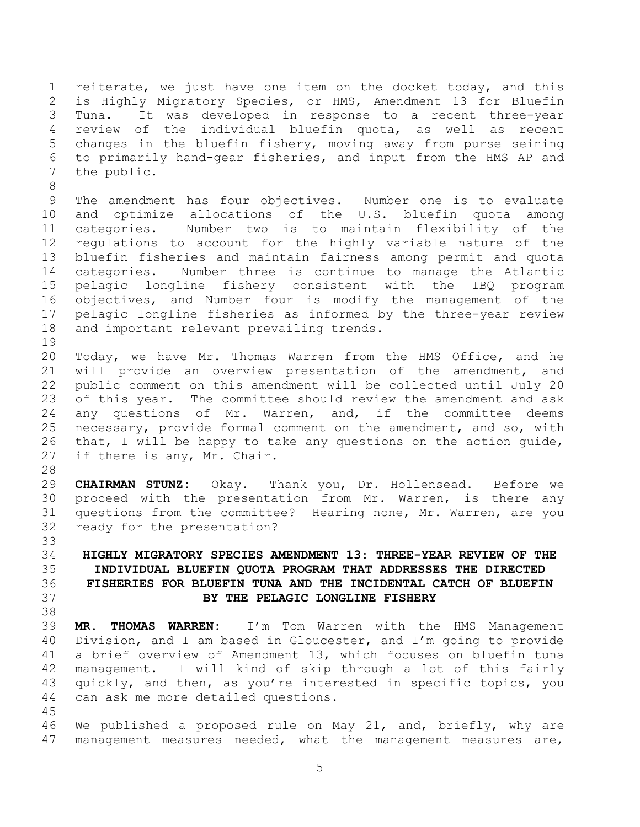1 reiterate, we just have one item on the docket today, and this 2 is Highly Migratory Species, or HMS, Amendment 13 for Bluefin<br>3 Tuna. It was developed in response to a recent three-year It was developed in response to a recent three-year 4 review of the individual bluefin quota, as well as recent<br>5 changes in the bluefin fishery, moving away from purse seining changes in the bluefin fishery, moving away from purse seining 6 to primarily hand-gear fisheries, and input from the HMS AP and the public.

8 9 The amendment has four objectives. Number one is to evaluate<br>10 and optimize allocations of the U.S. bluefin quota among 10 and optimize allocations of the U.S. bluefin quota among<br>11 categories. Number two is to maintain flexibility of the 11 categories. Number two is to maintain flexibility of the 12 regulations to account for the highly variable nature of the<br>13 bluefin fisheries and maintain fairness among permit and quota 13 bluefin fisheries and maintain fairness among permit and quota<br>14 categories. Number three is continue to manage the Atlantic 14 categories. Number three is continue to manage the Atlantic<br>15 pelagic longline fishery consistent with the IBO program 15 pelagic longline fishery consistent with the IBQ program<br>16 objectives, and Number four is modify the management of the 16 objectives, and Number four is modify the management of the 17 pelagic longline fisheries as informed by the three-year review 18 and important relevant prevailing trends.

19<br>20 20 Today, we have Mr. Thomas Warren from the HMS Office, and he<br>21 will provide an overview presentation of the amendment, and 21 will provide an overview presentation of the amendment, and<br>22 public comment on this amendment will be collected until July 20 22 public comment on this amendment will be collected until July 20<br>23 of this year. The committee should review the amendment and ask 23 of this year. The committee should review the amendment and ask<br>24 any questions of Mr. Warren, and, if the committee deems any questions of Mr. Warren, and, if the committee deems 25 necessary, provide formal comment on the amendment, and so, with<br>26 that, I will be happy to take any questions on the action quide, 26 that, I will be happy to take any questions on the action guide,<br>27 if there is any, Mr. Chair. if there is any, Mr. Chair.

28<br>29 29 **CHAIRMAN STUNZ:** Okay. Thank you, Dr. Hollensead. Before we 30 proceed with the presentation from Mr. Warren, is there any<br>31 questions from the committee? Hearing none, Mr. Warren, are you questions from the committee? Hearing none, Mr. Warren, are you 32 ready for the presentation?

## <span id="page-4-0"></span>33<br>34 34 **HIGHLY MIGRATORY SPECIES AMENDMENT 13: THREE-YEAR REVIEW OF THE** 35 **INDIVIDUAL BLUEFIN QUOTA PROGRAM THAT ADDRESSES THE DIRECTED** 36 **FISHERIES FOR BLUEFIN TUNA AND THE INCIDENTAL CATCH OF BLUEFIN** 37 **BY THE PELAGIC LONGLINE FISHERY**

38<br>39 39 **MR. THOMAS WARREN:** I'm Tom Warren with the HMS Management 40 Division, and I am based in Gloucester, and I'm going to provide 41 a brief overview of Amendment 13, which focuses on bluefin tuna<br>42 management. I will kind of skip through a lot of this fairly 42 management. I will kind of skip through a lot of this fairly<br>43 quickly, and then, as you're interested in specific topics, you 43 quickly, and then, as you're interested in specific topics, you<br>44 can ask me more detailed questions. can ask me more detailed questions.

45<br>46 46 We published a proposed rule on May 21, and, briefly, why are<br>47 management measures needed, what the management measures are, management measures needed, what the management measures are,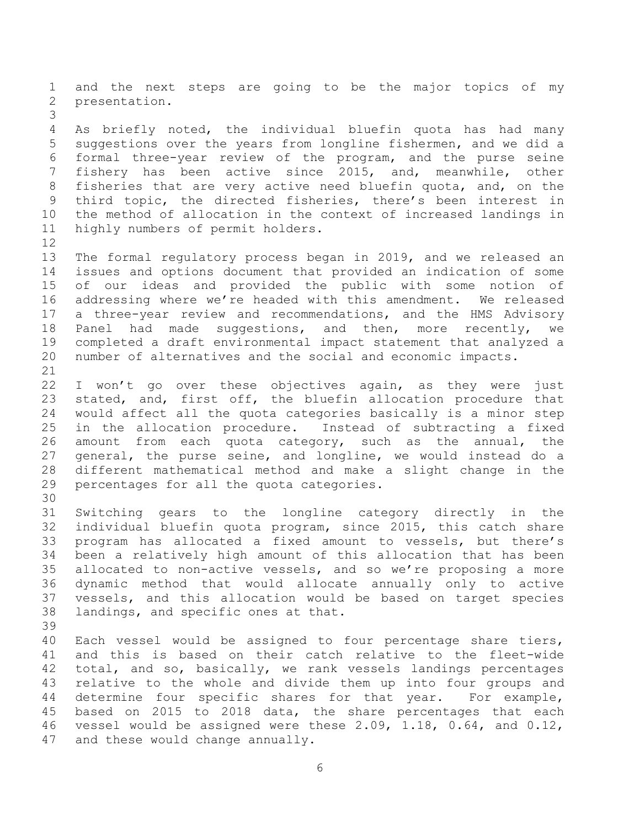1 and the next steps are going to be the major topics of my<br>2 presentation. presentation.

3 4 As briefly noted, the individual bluefin quota has had many<br>5 suggestions over the years from longline fishermen, and we did a suggestions over the years from longline fishermen, and we did a 6 formal three-year review of the program, and the purse seine<br>7 fishery has been active since 2015, and, meanwhile, other fishery has been active since 2015, and, meanwhile, 8 fisheries that are very active need bluefin quota, and, on the<br>9 third topic, the directed fisheries, there's been interest in 9 third topic, the directed fisheries, there's been interest in<br>10 the method of allocation in the context of increased landings in 10 the method of allocation in the context of increased landings in<br>11 highly numbers of permit holders. highly numbers of permit holders.

12<br>13 13 The formal regulatory process began in 2019, and we released an<br>14 issues and options document that provided an indication of some 14 issues and options document that provided an indication of some<br>15 of our ideas and provided the public with some notion of 15 of our ideas and provided the public with some notion of<br>16 addressing where we're headed with this amendment. We released addressing where we're headed with this amendment. We released 17 a three-year review and recommendations, and the HMS Advisory 18 Panel had made suggestions, and then, more recently, we<br>19 completed a draft environmental impact statement that analyzed a 19 completed a draft environmental impact statement that analyzed a<br>20 number of alternatives and the social and economic impacts. number of alternatives and the social and economic impacts.

21<br>22 22 I won't go over these objectives again, as they were just<br>23 stated, and, first off, the bluefin allocation procedure that 23 stated, and, first off, the bluefin allocation procedure that<br>24 would affect all the quota categories basically is a minor step would affect all the quota categories basically is a minor step 25 in the allocation procedure. Instead of subtracting a fixed<br>26 amount from each quota category, such as the annual, the 26 amount from each quota category, such as the annual, the<br>27 general, the purse seine, and longline, we would instead do a 27 general, the purse seine, and longline, we would instead do a<br>28 different mathematical method and make a slight change in the 28 different mathematical method and make a slight change in the percentages for all the quota categories.

30<br>31 Switching gears to the longline category directly in the 32 individual bluefin quota program, since 2015, this catch share 33 program has allocated a fixed amount to vessels, but there's<br>34 been a relatively high amount of this allocation that has been 34 been a relatively high amount of this allocation that has been<br>35 allocated to non-active vessels, and so we're proposing a more 35 allocated to non-active vessels, and so we're proposing a more<br>36 dynamic method that would allocate annually only to active 36 dynamic method that would allocate annually only to active<br>37 vessels, and this allocation would be based on target species 37 vessels, and this allocation would be based on target species<br>38 landings, and specific ones at that. landings, and specific ones at that.

39

40 Each vessel would be assigned to four percentage share tiers,<br>41 and this is based on their catch relative to the fleet-wide 41 and this is based on their catch relative to the fleet-wide<br>42 total, and so, basically, we rank vessels landings percentages 42 total, and so, basically, we rank vessels landings percentages<br>43 relative to the whole and divide them up into four groups and 43 relative to the whole and divide them up into four groups and<br>44 determine four specific shares for that vear. For example, 44 determine four specific shares for that year.<br>45 based on 2015 to 2018 data, the share percenta 45 based on 2015 to 2018 data, the share percentages that each<br>46 vessel would be assigned were these 2.09, 1.18, 0.64, and 0.12, 46 vessel would be assigned were these  $2.09$ ,  $1.18$ ,  $0.64$ , and  $0.12$ ,  $47$  and these would change annually. and these would change annually.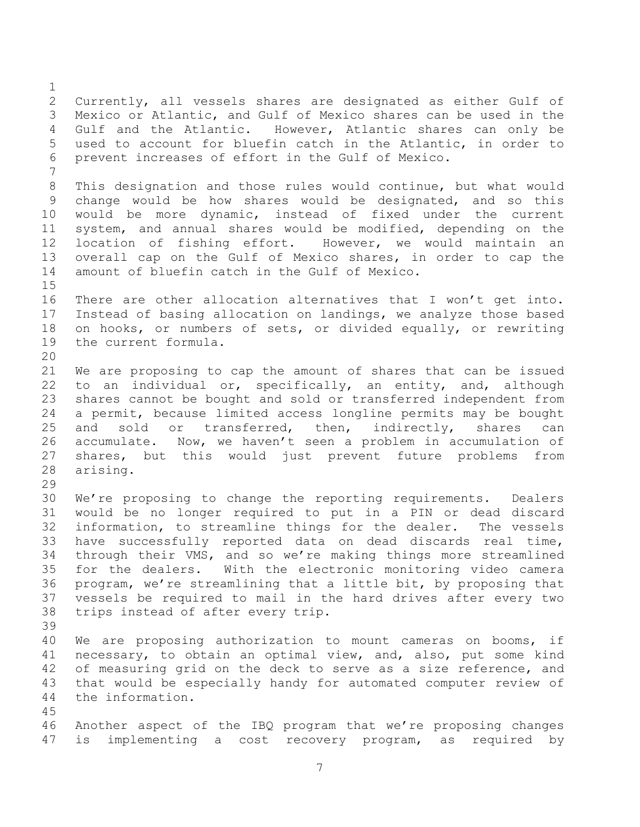$\frac{1}{2}$ 2 Currently, all vessels shares are designated as either Gulf of<br>3 Mexico or Atlantic, and Gulf of Mexico shares can be used in the Mexico or Atlantic, and Gulf of Mexico shares can be used in the<br>Gulf and the Atlantic. However, Atlantic shares can only be 4 Gulf and the Atlantic. However, Atlantic shares can only be<br>5 used to account for bluefin catch in the Atlantic, in order to 5 used to account for bluefin catch in the Atlantic, in order to<br>6 prevent increases of effort in the Gulf of Mexico. prevent increases of effort in the Gulf of Mexico. 7 8 This designation and those rules would continue, but what would<br>9 change would be how shares would be designated, and so this change would be how shares would be designated, and so this 10 would be more dynamic, instead of fixed under the current<br>11 system, and annual shares would be modified, depending on the 11 system, and annual shares would be modified, depending on the<br>12 location of fishing effort. However, we would maintain an 12 location of fishing effort. However, we would maintain an<br>13 overall cap on the Gulf of Mexico shares, in order to cap the 13 overall cap on the Gulf of Mexico shares, in order to cap the<br>14 amount of bluefin catch in the Gulf of Mexico. amount of bluefin catch in the Gulf of Mexico.  $\frac{15}{16}$ There are other allocation alternatives that I won't get into. 17 Instead of basing allocation on landings, we analyze those based 18 on hooks, or numbers of sets, or divided equally, or rewriting<br>19 the current formula. the current formula. 20<br>21 21 We are proposing to cap the amount of shares that can be issued<br>22 to an individual or, specifically, an entity, and, although 22 to an individual or, specifically, an entity, and, although<br>23 shares cannot be bought and sold or transferred independent from 23 shares cannot be bought and sold or transferred independent from<br>24 a permit, because limited access longline permits may be bought a permit, because limited access longline permits may be bought 25 and sold or transferred, then, indirectly, shares can<br>26 accumulate. Now, we haven't seen a problem in accumulation of 26 accumulate. Now, we haven't seen a problem in accumulation of<br>27 shares, but this would just prevent future problems from 27 shares, but this would just prevent future problems from<br>28 arising. arising.  $\frac{29}{30}$ 30 We're proposing to change the reporting requirements. Dealers<br>31 would be no longer required to put in a PIN or dead discard would be no longer required to put in a PIN or dead discard 32 information, to streamline things for the dealer. The vessels 33 have successfully reported data on dead discards real time,<br>34 through their VMS, and so we're making things more streamlined 34 through their VMS, and so we're making things more streamlined<br>35 for the dealers. With the electronic monitoring video camera 35 for the dealers. With the electronic monitoring video camera<br>36 program, we're streamlining that a little bit, by proposing that 36 program, we're streamlining that a little bit, by proposing that<br>37 vessels be required to mail in the hard drives after every two 37 vessels be required to mail in the hard drives after every two<br>38 trips instead of after every trip. trips instead of after every trip. 39 40 We are proposing authorization to mount cameras on booms, if 41 necessary, to obtain an optimal view, and, also, put some kind<br>42 of measuring grid on the deck to serve as a size reference, and 42 of measuring grid on the deck to serve as a size reference, and<br>43 that would be especially handy for automated computer review of 43 that would be especially handy for automated computer review of<br>44 the information. the information.  $\frac{45}{46}$ 46 Another aspect of the IBQ program that we're proposing changes<br>47 is implementing a cost recovery program, as required by is implementing a cost recovery program, as required by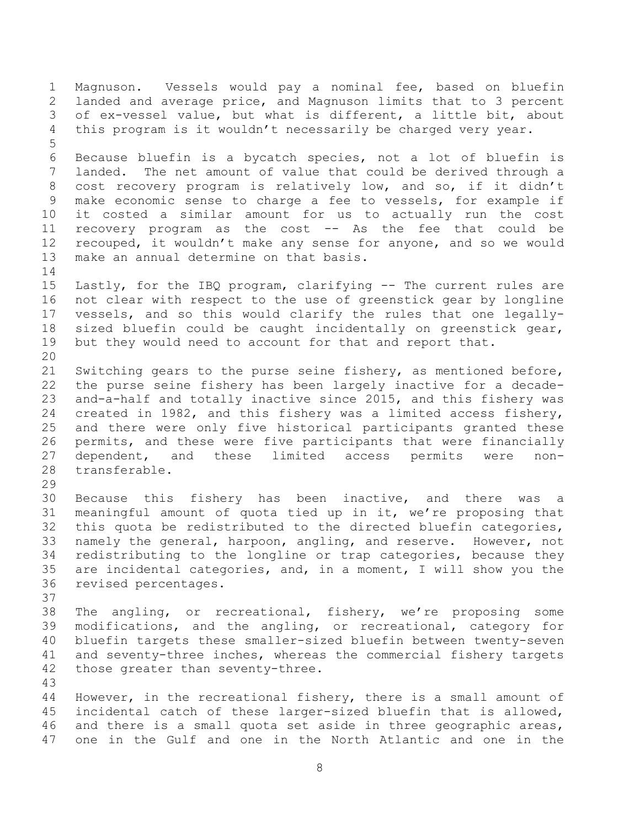1 Magnuson. Vessels would pay a nominal fee, based on bluefin<br>2 landed and average price, and Magnuson limits that to 3 percent 2 landed and average price, and Magnuson limits that to 3 percent<br>3 of ex-vessel value, but what is different, a little bit, about of ex-vessel value, but what is different, a little bit, about 4 this program is it wouldn't necessarily be charged very year. 5 6 Because bluefin is a bycatch species, not a lot of bluefin is The net amount of value that could be derived through a 8 cost recovery program is relatively low, and so, if it didn't<br>9 make economic sense to charge a fee to vessels, for example if 9 make economic sense to charge a fee to vessels, for example if<br>10 it costed a similar amount for us to actually run the cost 10 it costed a similar amount for us to actually run the cost<br>11 recovery program as the cost -- As the fee that could be 11 recovery program as the cost -- As the fee that could be<br>12 recouped, it wouldn't make any sense for anyone, and so we would 12 recouped, it wouldn't make any sense for anyone, and so we would<br>13 make an annual determine on that basis. make an annual determine on that basis.  $\begin{array}{c} 14 \\ 15 \end{array}$ Lastly, for the IBQ program, clarifying -- The current rules are 16 not clear with respect to the use of greenstick gear by longline 17 vessels, and so this would clarify the rules that one legally-18 sized bluefin could be caught incidentally on greenstick gear,<br>19 but they would need to account for that and report that. but they would need to account for that and report that. 20<br>21 21 Switching gears to the purse seine fishery, as mentioned before,<br>22 the purse seine fishery has been largely inactive for a decade-22 the purse seine fishery has been largely inactive for a decade-<br>23 and-a-half and totally inactive since 2015, and this fishery was 23 and-a-half and totally inactive since 2015, and this fishery was<br>24 created in 1982, and this fishery was a limited access fishery, created in 1982, and this fishery was a limited access fishery, 25 and there were only five historical participants granted these<br>26 permits, and these were five participants that were financially 26 permits, and these were five participants that were financially<br>27 dependent, and these limited access permits were non-27 dependent, and these limited access permits were non-<br>28 transferable. transferable. 29<br>30 30 Because this fishery has been inactive, and there was a<br>31 meaningful amount of quota tied up in it, we're proposing that meaningful amount of quota tied up in it, we're proposing that 32 this quota be redistributed to the directed bluefin categories, 33 namely the general, harpoon, angling, and reserve. However, not<br>34 redistributing to the longline or trap categories, because they 34 redistributing to the longline or trap categories, because they<br>35 are incidental categories, and, in a moment, I will show you the 35 are incidental categories, and, in a moment, I will show you the revised percentages. revised percentages. 37<br>38 38 The angling, or recreational, fishery, we're proposing some<br>39 modifications, and the angling, or recreational, category for modifications, and the angling, or recreational, category for 40 bluefin targets these smaller-sized bluefin between twenty-seven<br>41 and seventy-three inches, whereas the commercial fishery targets 41 and seventy-three inches, whereas the commercial fishery targets<br>42 those greater than seventy-three. those greater than seventy-three. 43 44 However, in the recreational fishery, there is a small amount of<br>45 incidental catch of these larger-sized bluefin that is allowed, 45 incidental catch of these larger-sized bluefin that is allowed,<br>46 and there is a small quota set aside in three geographic areas, 46 and there is a small quota set aside in three geographic areas,<br>47 one in the Gulf and one in the North Atlantic and one in the one in the Gulf and one in the North Atlantic and one in the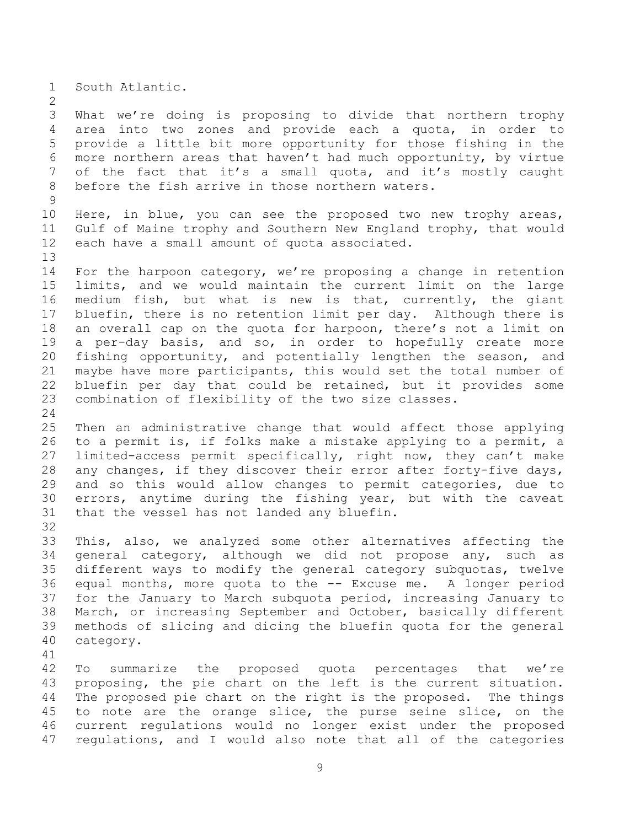1 South Atlantic.

 $\frac{2}{3}$ What we're doing is proposing to divide that northern trophy 4 area into two zones and provide each a quota, in order to<br>5 provide a little bit more opportunity for those fishing in the provide a little bit more opportunity for those fishing in the 6 more northern areas that haven't had much opportunity, by virtue<br>7 of the fact that it's a small quota, and it's mostly caught of the fact that it's a small quota, and it's mostly caught 8 before the fish arrive in those northern waters.

 $\frac{9}{10}$ 10 Here, in blue, you can see the proposed two new trophy areas,<br>11 Gulf of Maine trophy and Southern New England trophy, that would 11 Gulf of Maine trophy and Southern New England trophy, that would<br>12 each have a small amount of quota associated. each have a small amount of quota associated.

13<br>14 14 For the harpoon category, we're proposing a change in retention<br>15 limits, and we would maintain the current limit on the large 15 limits, and we would maintain the current limit on the large<br>16 medium fish, but what is new is that, currently, the giant medium fish, but what is new is that, currently, the giant 17 bluefin, there is no retention limit per day. Although there is 18 an overall cap on the quota for harpoon, there's not a limit on<br>19 a per-dav basis, and so, in order to hopefully create more 19 a per-day basis, and so, in order to hopefully create more<br>20 fishing opportunity, and potentially lengthen the season, and 20 fishing opportunity, and potentially lengthen the season, and<br>21 maybe have more participants, this would set the total number of 21 maybe have more participants, this would set the total number of<br>22 bluefin per day that could be retained, but it provides some 22 bluefin per day that could be retained, but it provides some<br>23 combination of flexibility of the two size classes. combination of flexibility of the two size classes.

25 Then an administrative change that would affect those applying<br>26 to a permit is, if folks make a mistake applying to a permit, a 26 to a permit is, if folks make a mistake applying to a permit, a<br>27 limited-access permit specifically, right now, they can't make 27 limited-access permit specifically, right now, they can't make<br>28 any changes, if they discover their error after forty-five days, 28 any changes, if they discover their error after forty-five days,<br>29 and so this would allow changes to permit categories, due to 29 and so this would allow changes to permit categories, due to<br>30 errors, anytime during the fishing year, but with the caveat 30 errors, anytime during the fishing year, but with the caveat<br>31 that the vessel has not landed any bluefin. that the vessel has not landed any bluefin.

32<br>33 33 This, also, we analyzed some other alternatives affecting the<br>34 qeneral category, although we did not propose any, such as 34 general category, although we did not propose any, such as<br>35 different ways to modify the general category subguotas, twelve 35 different ways to modify the general category subquotas, twelve<br>36 equal months, more quota to the -- Excuse me. A longer period 36 equal months, more quota to the -- Excuse me. A longer period<br>37 for the January to March subquota period, increasing January to 37 for the January to March subquota period, increasing January to<br>38 March, or increasing September and October, basically different 38 March, or increasing September and October, basically different<br>39 methods of slicing and dicing the bluefin quota for the general methods of slicing and dicing the bluefin quota for the general 40 category.

41<br>42

24

42 To summarize the proposed quota percentages that we're<br>43 proposing, the pie chart on the left is the current situation. 43 proposing, the pie chart on the left is the current situation.<br>44 The proposed pie chart on the right is the proposed. The things 44 The proposed pie chart on the right is the proposed. The things<br>45 to note are the orange slice, the purse seine slice, on the 45 to note are the orange slice, the purse seine slice, on the<br>46 current regulations would no longer exist under the proposed 46 current regulations would no longer exist under the proposed<br>47 regulations, and I would also note that all of the categories regulations, and I would also note that all of the categories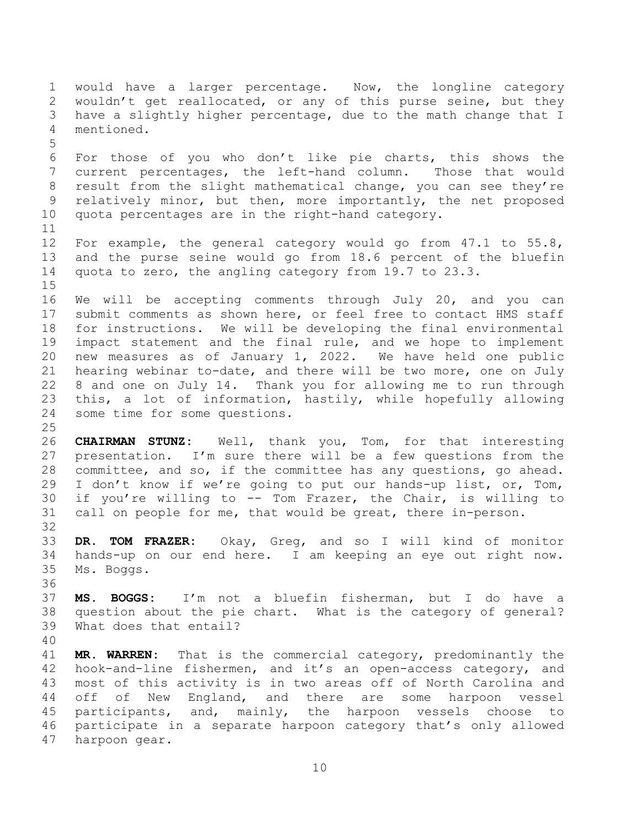1 would have a larger percentage. Now, the longline category<br>2 wouldn't get reallocated, or any of this purse seine, but they 2 wouldn't get reallocated, or any of this purse seine, but they<br>3 have a slightly higher percentage, due to the math change that I 3 have a slightly higher percentage, due to the math change that I<br>4 mentioned. mentioned. 5 6 For those of you who don't like pie charts, this shows the<br>7 current percentages, the left-hand column. Those that would current percentages, the left-hand column. 8 result from the slight mathematical change, you can see they're<br>9 relatively minor, but then, more importantly, the net proposed 9 relatively minor, but then, more importantly, the net proposed<br>10 quota percentages are in the right-hand category. quota percentages are in the right-hand category.  $\begin{array}{c} 11 \\ 12 \end{array}$ 12 For example, the general category would go from 47.1 to 55.8,<br>13 and the purse seine would go from 18.6 percent of the bluefin 13 and the purse seine would go from 18.6 percent of the bluefin<br>14 quota to zero, the angling category from 19.7 to 23.3. quota to zero, the angling category from 19.7 to 23.3.  $\frac{15}{16}$ We will be accepting comments through July 20, and you can 17 submit comments as shown here, or feel free to contact HMS staff 18 for instructions. We will be developing the final environmental<br>19 impact statement and the final rule, and we hope to implement 19 impact statement and the final rule, and we hope to implement<br>20 new measures as of January 1, 2022. We have held one public 20 new measures as of January 1, 2022. We have held one public<br>21 hearing webinar to-date, and there will be two more, one on July 21 hearing webinar to-date, and there will be two more, one on July<br>22 8 and one on July 14. Thank you for allowing me to run through 22 8 and one on July 14. Thank you for allowing me to run through<br>23 this, a lot of information, hastily, while hopefully allowing 23 this, a lot of information, hastily, while hopefully allowing<br>24 some time for some questions. some time for some questions.  $\frac{25}{26}$ 26 **CHAIRMAN STUNZ:** Well, thank you, Tom, for that interesting 27 presentation. I'm sure there will be a few questions from the<br>28 committee, and so, if the committee has any questions, go ahead. 28 committee, and so, if the committee has any questions, go ahead.<br>29 I don't know if we're going to put our hands-up list, or, Tom, 29 I don't know if we're going to put our hands-up list, or, Tom,<br>30 if you're willing to -- Tom Frazer, the Chair, is willing to 30 if you're willing to  $--$  Tom Frazer, the Chair, is willing to 31 call on people for me, that would be great, there in-person. call on people for me, that would be great, there in-person. 32<br>33 33 **DR. TOM FRAZER:** Okay, Greg, and so I will kind of monitor 34 hands-up on our end here. I am keeping an eye out right now. Ms. Boggs. 36<br>37 37 **MS. BOGGS:** I'm not a bluefin fisherman, but I do have a 38 question about the pie chart. What is the category of general?<br>39 What does that entail? What does that entail? 40 41 **MR. WARREN:** That is the commercial category, predominantly the<br>42 hook-and-line fishermen, and it's an open-access category, and 42 hook-and-line fishermen, and it's an open-access category, and<br>43 most of this activity is in two areas off of North Carolina and 43 most of this activity is in two areas off of North Carolina and<br>44 off of New England, and there are some harpoon vessel 44 off of New England, and there are some harpoon vessel<br>45 participants, and, mainly, the harpoon vessels choose to 45 participants, and, mainly, the harpoon vessels choose to<br>46 participate in a separate harpoon category that's only allowed 46 participate in a separate harpoon category that's only allowed<br>47 harpoon gear. harpoon gear.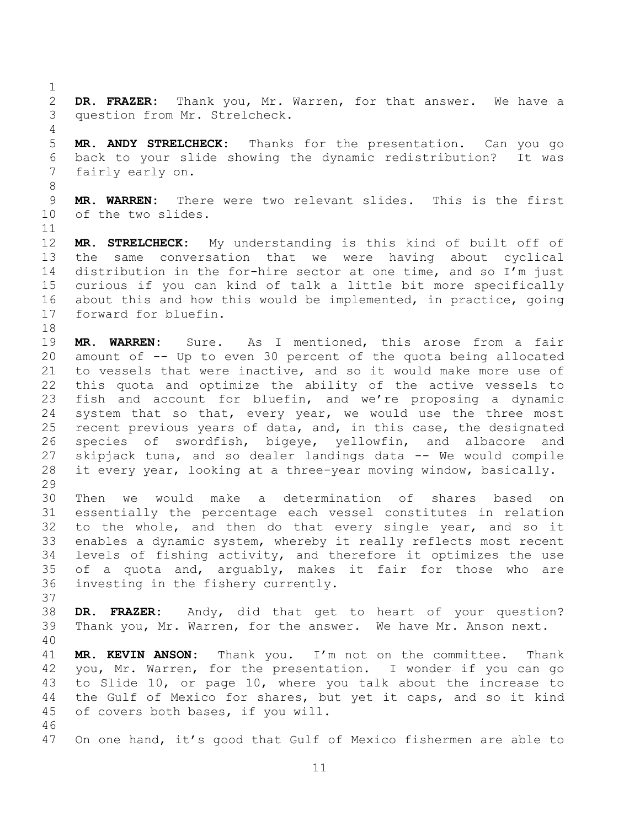$\frac{1}{2}$ 2 **DR. FRAZER:** Thank you, Mr. Warren, for that answer. We have a question from Mr. Strelcheck.

4<br>5 5 **MR. ANDY STRELCHECK:** Thanks for the presentation. Can you go 6 back to your slide showing the dynamic redistribution? It was fairly early on.

8 9 **MR. WARREN:** There were two relevant slides. This is the first of the two slides.

 $\begin{array}{c} 11 \\ 12 \end{array}$ 12 **MR. STRELCHECK:** My understanding is this kind of built off of 13 the same conversation that we were having about cyclical<br>14 distribution in the for-hire sector at one time, and so I'm just 14 distribution in the for-hire sector at one time, and so I'm just<br>15 curious if you can kind of talk a little bit more specifically curious if you can kind of talk a little bit more specifically 16 about this and how this would be implemented, in practice, going 17 forward for bluefin.

18<br>19 19 **MR. WARREN:** Sure. As I mentioned, this arose from a fair 20 amount of -- Up to even 30 percent of the quota being allocated<br>21 to vessels that were inactive, and so it would make more use of 21 to vessels that were inactive, and so it would make more use of<br>22 this quota and optimize the ability of the active vessels to 22 this quota and optimize the ability of the active vessels to<br>23 fish and account for bluefin, and we're proposing a dynamic 23 fish and account for bluefin, and we're proposing a dynamic<br>24 system that so that, every year, we would use the three most system that so that, every year, we would use the three most 25 recent previous years of data, and, in this case, the designated<br>26 species of swordfish, bigeye, yellowfin, and albacore and 26 species of swordfish, bigeye, yellowfin, and albacore<br>27 skipjack tuna, and so dealer landings data -- We would comp 27 skipjack tuna, and so dealer landings data -- We would compile<br>28 it every year, looking at a three-year moving window, basically. it every year, looking at a three-year moving window, basically.

 $\frac{29}{30}$ 30 Then we would make a determination of shares based on<br>31 essentially the percentage each vessel constitutes in relation essentially the percentage each vessel constitutes in relation 32 to the whole, and then do that every single year, and so it 33 enables a dynamic system, whereby it really reflects most recent<br>34 levels of fishing activity, and therefore it optimizes the use 34 levels of fishing activity, and therefore it optimizes the use<br>35 of a quota and, arquably, makes it fair for those who are 35 of a quota and, arguably, makes it fair for those who are  $36$  investing in the fishery currently. investing in the fishery currently.

- 37<br>38 38 **DR. FRAZER:** Andy, did that get to heart of your question? Thank you, Mr. Warren, for the answer. We have Mr. Anson next.
- 

40 41 **MR. KEVIN ANSON:** Thank you. I'm not on the committee. Thank 42 you, Mr. Warren, for the presentation. I wonder if you can go<br>43 to Slide 10, or page 10, where you talk about the increase to to Slide 10, or page 10, where you talk about the increase to 44 the Gulf of Mexico for shares, but yet it caps, and so it kind<br>45 of covers both bases, if you will.

46<br>47 On one hand, it's good that Gulf of Mexico fishermen are able to

of covers both bases, if you will.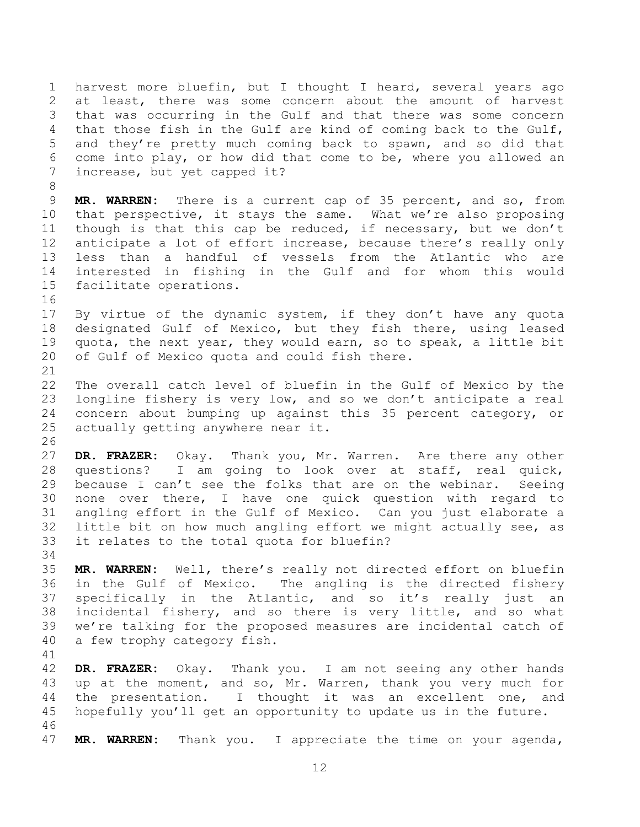1 harvest more bluefin, but I thought I heard, several years ago<br>2 at least, there was some concern about the amount of harvest 2 at least, there was some concern about the amount of harvest<br>3 that was occurring in the Gulf and that there was some concern that was occurring in the Gulf and that there was some concern 4 that those fish in the Gulf are kind of coming back to the Gulf,<br>5 and they're pretty much coming back to spawn, and so did that and they're pretty much coming back to spawn, and so did that 6 come into play, or how did that come to be, where you allowed an<br>7 increase, but yet capped it? increase, but yet capped it? 8<br>9 9 **MR. WARREN:** There is a current cap of 35 percent, and so, from<br>10 that perspective, it stavs the same. What we're also proposing 10 that perspective, it stays the same. What we're also proposing<br>11 though is that this cap be reduced, if necessary, but we don't 11 though is that this cap be reduced, if necessary, but we don't<br>12 anticipate a lot of effort increase, because there's really only 12 anticipate a lot of effort increase, because there's really only<br>13 less than a handful of vessels from the Atlantic who are 13 less than a handful of vessels from the Atlantic who are 14 interested in fishing in the Gulf and for whom this would<br>15 facilitate operations. facilitate operations. 16<br>17 By virtue of the dynamic system, if they don't have any quota 18 designated Gulf of Mexico, but they fish there, using leased<br>19 quota, the next vear, they would earn, so to speak, a little bit 19 quota, the next year, they would earn, so to speak, a little bit<br>20 of Gulf of Mexico quota and could fish there. of Gulf of Mexico quota and could fish there. 21<br>22 22 The overall catch level of bluefin in the Gulf of Mexico by the<br>23 longline fishery is very low, and so we don't anticipate a real 23 longline fishery is very low, and so we don't anticipate a real<br>24 concern about bumping up against this 35 percent category, or concern about bumping up against this 35 percent category, or 25 actually getting anywhere near it.  $\frac{26}{27}$ 27 **DR. FRAZER:** Okay. Thank you, Mr. Warren. Are there any other 28 questions? I am going to look over at staff, real quick,<br>29 because I can't see the folks that are on the webinar. Seeing 29 because I can't see the folks that are on the webinar.<br>30 none over there, I have one quick question with re 30 none over there, I have one quick question with regard to<br>31 angling effort in the Gulf of Mexico. Can you just elaborate a angling effort in the Gulf of Mexico. Can you just elaborate a 32 little bit on how much angling effort we might actually see, as<br>33 it relates to the total quota for bluefin? it relates to the total quota for bluefin? 34<br>35 35 **MR. WARREN:** Well, there's really not directed effort on bluefin 36 in the Gulf of Mexico. The angling is the directed fishery<br>37 specifically in the Atlantic, and so it's really just an 37 specifically in the Atlantic, and so it's really just an<br>38 incidental fishery, and so there is very little, and so what 38 incidental fishery, and so there is very little, and so what<br>39 we're talking for the proposed measures are incidental catch of we're talking for the proposed measures are incidental catch of 40 a few trophy category fish. 41<br>42 42 **DR. FRAZER:** Okay. Thank you. I am not seeing any other hands 43 up at the moment, and so, Mr. Warren, thank you very much for<br>44 the presentation. I thought it was an excellent one, and 44 the presentation. I thought it was an excellent one, and<br>45 hopefully you'll get an opportunity to update us in the future. hopefully you'll get an opportunity to update us in the future. 46<br>47 MR. WARREN: Thank you. I appreciate the time on your agenda,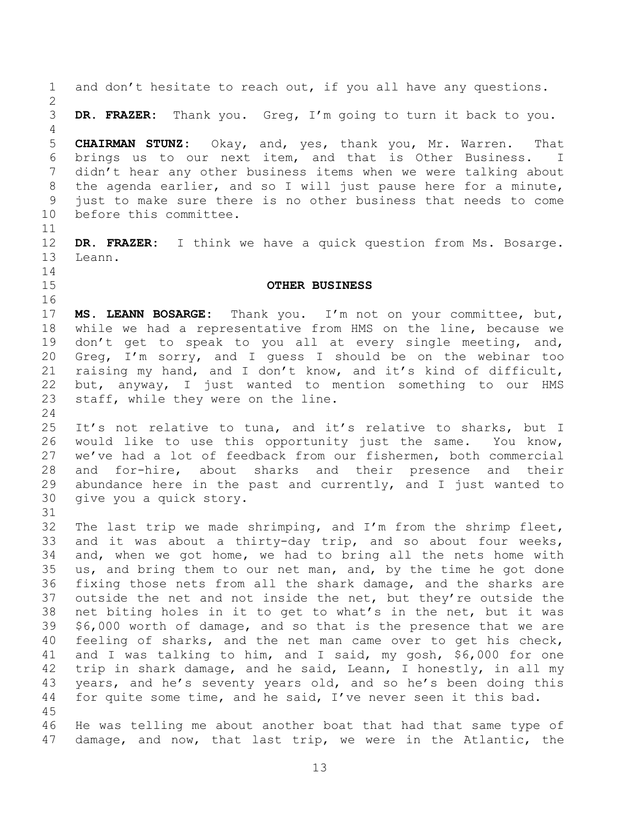<span id="page-12-0"></span>1 and don't hesitate to reach out, if you all have any questions.  $\frac{2}{3}$ 3 **DR. FRAZER:** Thank you. Greg, I'm going to turn it back to you. 4<br>5 5 **CHAIRMAN STUNZ:** Okay, and, yes, thank you, Mr. Warren. That 6 brings us to our next item, and that is Other Business. I<br>7 didn't hear any other business items when we were talking about didn't hear any other business items when we were talking about 8 the agenda earlier, and so I will just pause here for a minute,<br>9 just to make sure there is no other business that needs to come 9 just to make sure there is no other business that needs to come<br>10 before this committee. before this committee.  $\begin{array}{c} 11 \\ 12 \end{array}$ 12 **DR. FRAZER:** I think we have a quick question from Ms. Bosarge. Leann.  $\begin{array}{c} 14 \\ 15 \end{array}$ 15 **OTHER BUSINESS** 16 17 **MS. LEANN BOSARGE:** Thank you. I'm not on your committee, but, 18 while we had a representative from HMS on the line, because we<br>19 don't get to speak to you all at every single meeting, and, 19 don't get to speak to you all at every single meeting, and,<br>20 Greg, I'm sorry, and I quess I should be on the webinar too 20 Greg, I'm sorry, and I guess I should be on the webinar too<br>21 raising my hand, and I don't know, and it's kind of difficult, 21 raising my hand, and I don't know, and it's kind of difficult,<br>22 but, anyway, I just wanted to mention something to our HMS 22 but, anyway, I just wanted to mention something to our HMS<br>23 staff, while they were on the line. staff, while they were on the line. 24 25 It's not relative to tuna, and it's relative to sharks, but I<br>26 would like to use this opportunity just the same. You know, 26 would like to use this opportunity just the same.<br>27 we've had a lot of feedback from our fishermen, both 27 we've had a lot of feedback from our fishermen, both commercial<br>28 and for-hire, about sharks and their presence and their 28 and for-hire, about sharks and their presence and their<br>29 abundance here in the past and currently, and I just wanted to 29 abundance here in the past and currently, and I just wanted to  $30$  qive you a quick story. give you a quick story. 31 32 The last trip we made shrimping, and I'm from the shrimp fleet,<br>33 and it was about a thirty-day trip, and so about four weeks, 33 and it was about a thirty-day trip, and so about four weeks,<br>34 and, when we got home, we had to bring all the nets home with 34 and, when we got home, we had to bring all the nets home with<br>35 us, and bring them to our net man, and, by the time he got done 35 us, and bring them to our net man, and, by the time he got done<br>36 fixing those nets from all the shark damage, and the sharks are 36 fixing those nets from all the shark damage, and the sharks are<br>37 outside the net and not inside the net, but they're outside the 37 outside the net and not inside the net, but they're outside the<br>38 net biting holes in it to get to what's in the net, but it was 38 net biting holes in it to get to what's in the net, but it was<br>39 \$6,000 worth of damage, and so that is the presence that we are  $$6,000$  worth of damage, and so that is the presence that we are 40 feeling of sharks, and the net man came over to get his check,<br>41 and I was talking to him, and I said, my gosh, \$6,000 for one 41 and I was talking to him, and I said, my gosh, \$6,000 for one<br>42 trip in shark damage, and he said, Leann, I honestly, in all my 42 trip in shark damage, and he said, Leann, I honestly, in all my<br>43 years, and he's seventy years old, and so he's been doing this 43 years, and he's seventy years old, and so he's been doing this<br>44 for quite some time, and he said, I've never seen it this bad. for quite some time, and he said, I've never seen it this bad.  $\frac{45}{46}$ 46 He was telling me about another boat that had that same type of<br>47 damage, and now, that last trip, we were in the Atlantic, the damage, and now, that last trip, we were in the Atlantic, the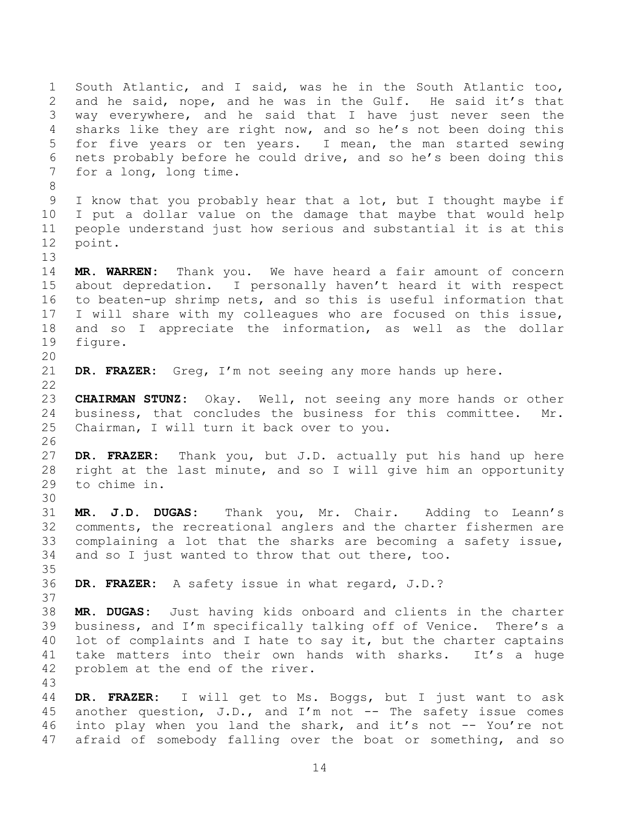1 South Atlantic, and I said, was he in the South Atlantic too, 2 and he said, nope, and he was in the Gulf. He said it's that<br>3 way everywhere, and he said that I have just never seen the way everywhere, and he said that I have just never seen the 4 sharks like they are right now, and so he's not been doing this<br>5 for five years or ten years. I mean, the man started sewing for five years or ten years. I mean, the man started sewing 6 nets probably before he could drive, and so he's been doing this  $\frac{1}{100}$  for a long, long time. for a long, long time. 8 9 I know that you probably hear that a lot, but I thought maybe if<br>10 I put a dollar value on the damage that maybe that would help 10 I put a dollar value on the damage that maybe that would help<br>11 people understand just how serious and substantial it is at this 11 people understand just how serious and substantial it is at this<br>12 point. point. 13<br>14 14 **MR. WARREN:** Thank you. We have heard a fair amount of concern about depredation. I personally haven't heard it with respect 16 to beaten-up shrimp nets, and so this is useful information that 17 I will share with my colleagues who are focused on this issue, 18 and so I appreciate the information, as well as the dollar<br>19 figure. figure. 20<br>21 DR. FRAZER: Greg, I'm not seeing any more hands up here.  $\frac{22}{23}$ 23 **CHAIRMAN STUNZ:** Okay. Well, not seeing any more hands or other business, that concludes the business for this committee. Mr. 25 Chairman, I will turn it back over to you. 26<br>27 27 **DR. FRAZER:** Thank you, but J.D. actually put his hand up here 28 right at the last minute, and so I will give him an opportunity<br>29 to chime in. to chime in. 30<br>31 31 **MR. J.D. DUGAS:** Thank you, Mr. Chair. Adding to Leann's 32 comments, the recreational anglers and the charter fishermen are 33 complaining a lot that the sharks are becoming a safety issue,<br>34 and so I just wanted to throw that out there, too. and so I just wanted to throw that out there, too. 35<br>36 36 **DR. FRAZER:** A safety issue in what regard, J.D.? 37<br>38 38 **MR. DUGAS:** Just having kids onboard and clients in the charter business, and I'm specifically talking off of Venice. There's a 40 lot of complaints and I hate to say it, but the charter captains<br>41 take matters into their own hands with sharks. It's a huge 41 take matters into their own hands with sharks. It's a huge<br>42 problem at the end of the river. problem at the end of the river. 43 44 **DR. FRAZER:** I will get to Ms. Boggs, but I just want to ask 45 another question, J.D., and I'm not  $-$  The safety issue comes<br>46 into play when you land the shark, and it's not  $-$  You're not 46 into play when you land the shark, and it's not -- You're not<br>47 afraid of somebody falling over the boat or something, and so afraid of somebody falling over the boat or something, and so